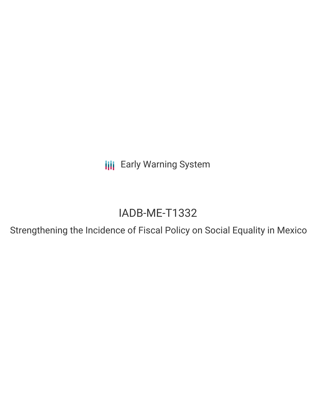**III** Early Warning System

# IADB-ME-T1332

Strengthening the Incidence of Fiscal Policy on Social Equality in Mexico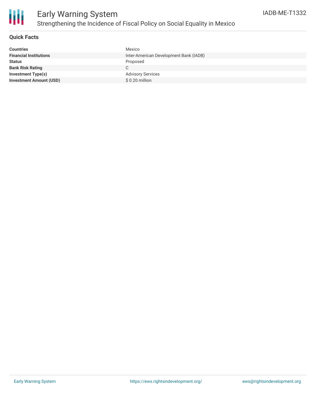

### **Quick Facts**

| <b>Countries</b>               | Mexico                                 |
|--------------------------------|----------------------------------------|
| <b>Financial Institutions</b>  | Inter-American Development Bank (IADB) |
| <b>Status</b>                  | Proposed                               |
| <b>Bank Risk Rating</b>        |                                        |
| <b>Investment Type(s)</b>      | <b>Advisory Services</b>               |
| <b>Investment Amount (USD)</b> | \$ 0.20 million                        |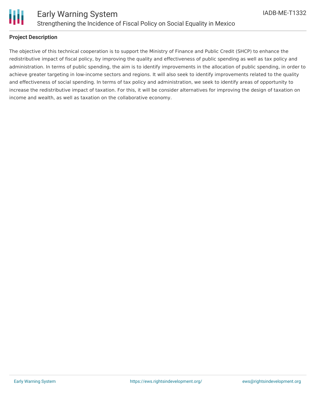

### **Project Description**

The objective of this technical cooperation is to support the Ministry of Finance and Public Credit (SHCP) to enhance the redistributive impact of fiscal policy, by improving the quality and effectiveness of public spending as well as tax policy and administration. In terms of public spending, the aim is to identify improvements in the allocation of public spending, in order to achieve greater targeting in low-income sectors and regions. It will also seek to identify improvements related to the quality and effectiveness of social spending. In terms of tax policy and administration, we seek to identify areas of opportunity to increase the redistributive impact of taxation. For this, it will be consider alternatives for improving the design of taxation on income and wealth, as well as taxation on the collaborative economy.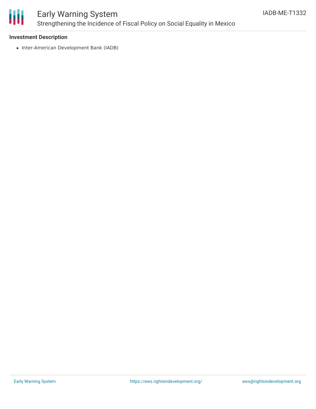

## Early Warning System Strengthening the Incidence of Fiscal Policy on Social Equality in Mexico

### **Investment Description**

• Inter-American Development Bank (IADB)